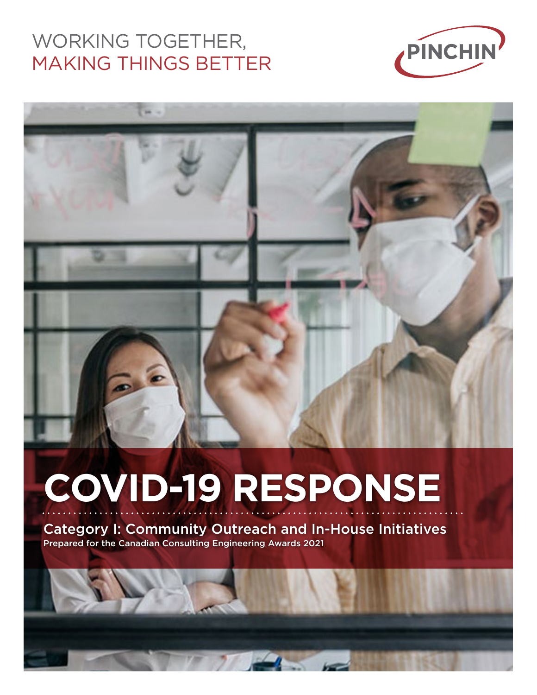## WORKING TOGETHER, MAKING THINGS BETTER





# **COVID-19 RESPONSE**

Category I: Community Outreach and In-House Initiatives Prepared for the Canadian Consulting Engineering Awards 2021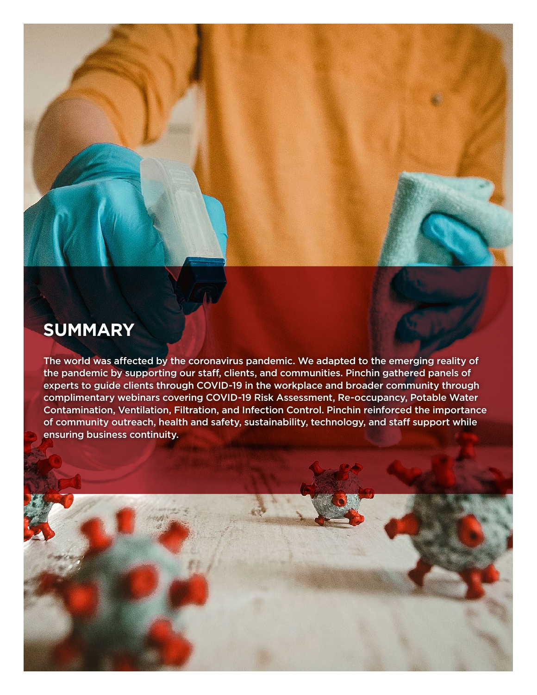

### **SUMMARY**

The world was affected by the coronavirus pandemic. We adapted to the emerging reality of the pandemic by supporting our staff, clients, and communities. Pinchin gathered panels of experts to guide clients through COVID-19 in the workplace and broader community through complimentary webinars covering COVID-19 Risk Assessment, Re-occupancy, Potable Water Contamination, Ventilation, Filtration, and Infection Control. Pinchin reinforced the importance of community outreach, health and safety, sustainability, technology, and staff support while ensuring business continuity.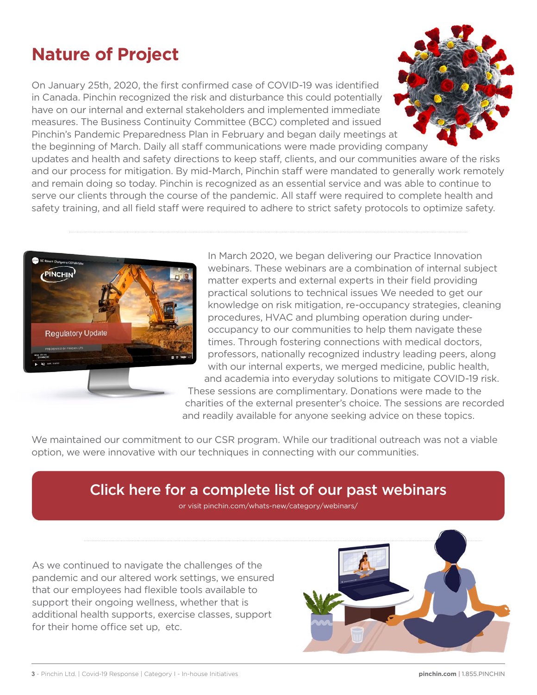## **Nature of Project**

On January 25th, 2020, the first confirmed case of COVID-19 was identified in Canada. Pinchin recognized the risk and disturbance this could potentially have on our internal and external stakeholders and implemented immediate measures. The Business Continuity Committee (BCC) completed and issued Pinchin's Pandemic Preparedness Plan in February and began daily meetings at the beginning of March. Daily all staff communications were made providing company

updates and health and safety directions to keep staff, clients, and our communities aware of the risks and our process for mitigation. By mid-March, Pinchin staff were mandated to generally work remotely and remain doing so today. Pinchin is recognized as an essential service and was able to continue to serve our clients through the course of the pandemic. All staff were required to complete health and safety training, and all field staff were required to adhere to strict safety protocols to optimize safety.



In March 2020, we began delivering our Practice Innovation webinars. These webinars are a combination of internal subject matter experts and external experts in their field providing practical solutions to technical issues We needed to get our knowledge on risk mitigation, re-occupancy strategies, cleaning procedures, HVAC and plumbing operation during underoccupancy to our communities to help them navigate these times. Through fostering connections with medical doctors, professors, nationally recognized industry leading peers, along with our internal experts, we merged medicine, public health, and academia into everyday solutions to mitigate COVID-19 risk. These sessions are complimentary. Donations were made to the

charities of the external presenter's choice. The sessions are recorded and readily available for anyone seeking advice on these topics.

We maintained our commitment to our CSR program. While our traditional outreach was not a viable option, we were innovative with our techniques in connecting with our communities.

#### Click here for a complete list of our past webinars

or visit pinchin.com/whats-new/category/webinars/

As we continued to navigate the challenges of the pandemic and our altered work settings, we ensured that our employees had flexible tools available to support their ongoing wellness, whether that is additional health supports, exercise classes, support for their home office set up, etc.

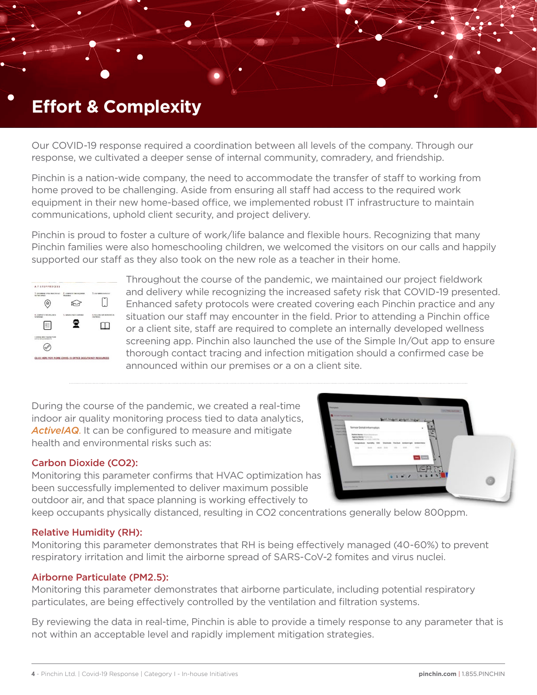### **Effort & Complexity**

Our COVID-19 response required a coordination between all levels of the company. Through our response, we cultivated a deeper sense of internal community, comradery, and friendship.

Pinchin is a nation-wide company, the need to accommodate the transfer of staff to working from home proved to be challenging. Aside from ensuring all staff had access to the required work equipment in their new home-based office, we implemented robust IT infrastructure to maintain communications, uphold client security, and project delivery.

Pinchin is proud to foster a culture of work/life balance and flexible hours. Recognizing that many Pinchin families were also homeschooling children, we welcomed the visitors on our calls and happily supported our staff as they also took on the new role as a teacher in their home.



Throughout the course of the pandemic, we maintained our project fieldwork and delivery while recognizing the increased safety risk that COVID-19 presented. Enhanced safety protocols were created covering each Pinchin practice and any situation our staff may encounter in the field. Prior to attending a Pinchin office or a client site, staff are required to complete an internally developed wellness screening app. Pinchin also launched the use of the Simple In/Out app to ensure thorough contact tracing and infection mitigation should a confirmed case be announced within our premises or a on a client site.

During the course of the pandemic, we created a real-time indoor air quality monitoring process tied to data analytics, *ActiveIAQ*. It can be configured to measure and mitigate health and environmental risks such as:

#### Carbon Dioxide (CO2):

Monitoring this parameter confirms that HVAC optimization has been successfully implemented to deliver maximum possible outdoor air, and that space planning is working effectively to

keep occupants physically distanced, resulting in CO2 concentrations generally below 800ppm.

#### Relative Humidity (RH):

Monitoring this parameter demonstrates that RH is being effectively managed (40-60%) to prevent respiratory irritation and limit the airborne spread of SARS-CoV-2 fomites and virus nuclei.

#### Airborne Particulate (PM2.5):

Monitoring this parameter demonstrates that airborne particulate, including potential respiratory particulates, are being effectively controlled by the ventilation and filtration systems.

By reviewing the data in real-time, Pinchin is able to provide a timely response to any parameter that is not within an acceptable level and rapidly implement mitigation strategies.